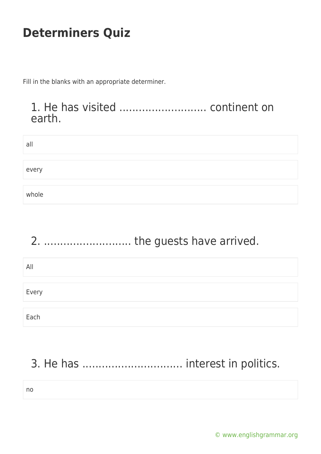Fill in the blanks with an appropriate determiner.

#### 1. He has visited ........................... continent on earth.

| all   |  |  |  |
|-------|--|--|--|
|       |  |  |  |
| every |  |  |  |
|       |  |  |  |
| whole |  |  |  |

#### 2. ........................... the guests have arrived.

| All   |  |  |  |
|-------|--|--|--|
|       |  |  |  |
| Every |  |  |  |
|       |  |  |  |
| Each  |  |  |  |

## 3. He has ............................... interest in politics.

no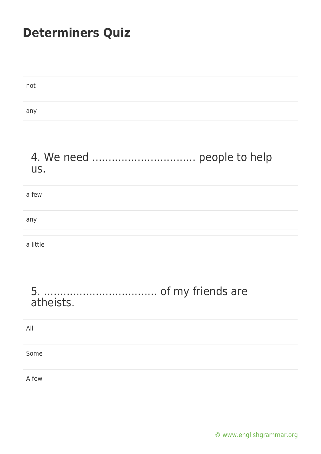| not |  |
|-----|--|
|     |  |
| any |  |

#### 4. We need ................................ people to help us.

| a few    |  |
|----------|--|
|          |  |
| any      |  |
|          |  |
| a little |  |

#### 5. ................................... of my friends are atheists.

| All   |  |  |  |
|-------|--|--|--|
|       |  |  |  |
| Some  |  |  |  |
|       |  |  |  |
| A few |  |  |  |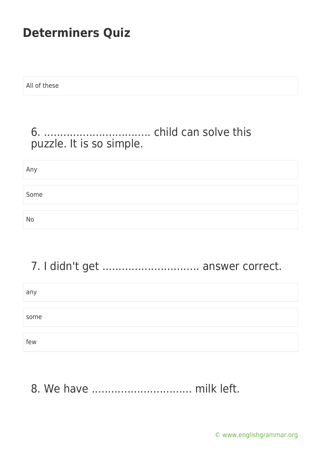All of these

#### 6. ................................. child can solve this puzzle. It is so simple.

Any Some No

## 7. I didn't get .............................. answer correct.

any some few

8. We have ............................... milk left.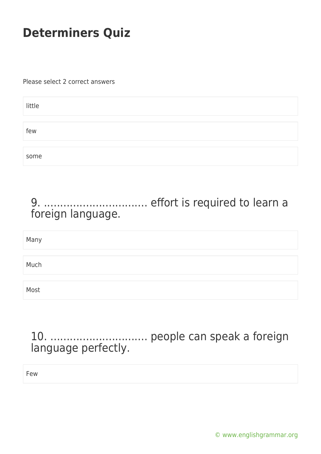Please select 2 correct answers

| little |  |  |
|--------|--|--|
|        |  |  |
| few    |  |  |
|        |  |  |
| some   |  |  |

#### 9. ................................ effort is required to learn a foreign language.

| Many |  |  |  |
|------|--|--|--|
|      |  |  |  |
| Much |  |  |  |
|      |  |  |  |
| Most |  |  |  |

#### 10. .............................. people can speak a foreign language perfectly.

Few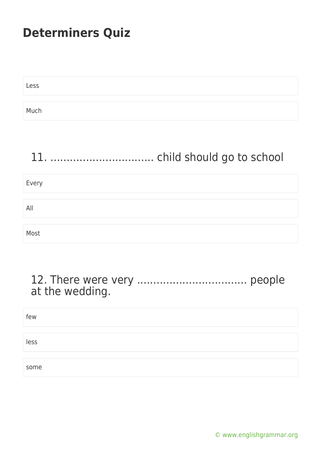| Less |  |  |
|------|--|--|
|      |  |  |
| Much |  |  |

#### 11. ................................ child should go to school

# Every All Most

#### 12. There were very .................................. people at the wedding.

| few  |  |  |
|------|--|--|
|      |  |  |
| less |  |  |
|      |  |  |
| some |  |  |